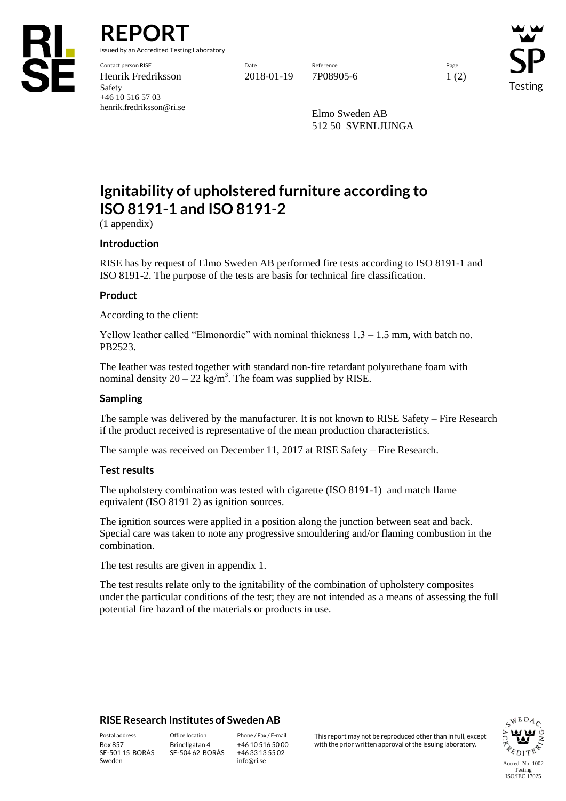

**REPORT**

issued by an Accredited Testing Laboratory

Contact person RISE Date Reference Page Henrik Fredriksson 2018-01-19 7P08905-6 1 (2) Safety +46 10 516 57 03 henrik.fredriksson@ri.se

Testing

Elmo Sweden AB 512 50 SVENLJUNGA

# **Ignitability of upholstered furniture according to ISO 8191-1 and ISO 8191-2**

(1 appendix)

## **Introduction**

RISE has by request of Elmo Sweden AB performed fire tests according to ISO 8191-1 and ISO 8191-2. The purpose of the tests are basis for technical fire classification.

## **Product**

According to the client:

Yellow leather called "Elmonordic" with nominal thickness  $1.3 - 1.5$  mm, with batch no. PB2523.

The leather was tested together with standard non-fire retardant polyurethane foam with nominal density  $20 - 22$  kg/m<sup>3</sup>. The foam was supplied by RISE.

#### **Sampling**

The sample was delivered by the manufacturer. It is not known to RISE Safety – Fire Research if the product received is representative of the mean production characteristics.

The sample was received on December 11, 2017 at RISE Safety – Fire Research.

#### **Test results**

The upholstery combination was tested with cigarette (ISO 8191-1) and match flame equivalent (ISO 8191 2) as ignition sources.

The ignition sources were applied in a position along the junction between seat and back. Special care was taken to note any progressive smouldering and/or flaming combustion in the combination.

The test results are given in appendix 1.

The test results relate only to the ignitability of the combination of upholstery composites under the particular conditions of the test; they are not intended as a means of assessing the full potential fire hazard of the materials or products in use.

## **RISE Research Institutes of Sweden AB**

SE-501 15 BORÅS Sweden

Brinellgatan 4 SE-504 62 BORÅS

+46 10 516 50 00 +46 33 13 55 02 info@ri.se

Postal address Office location Phone / Fax / E-mail This report may not be reproduced other than in full, except Box 857 Brinellgatan 4 +46 10 516 50 00 with the prior written approval of the issuing laboratory.

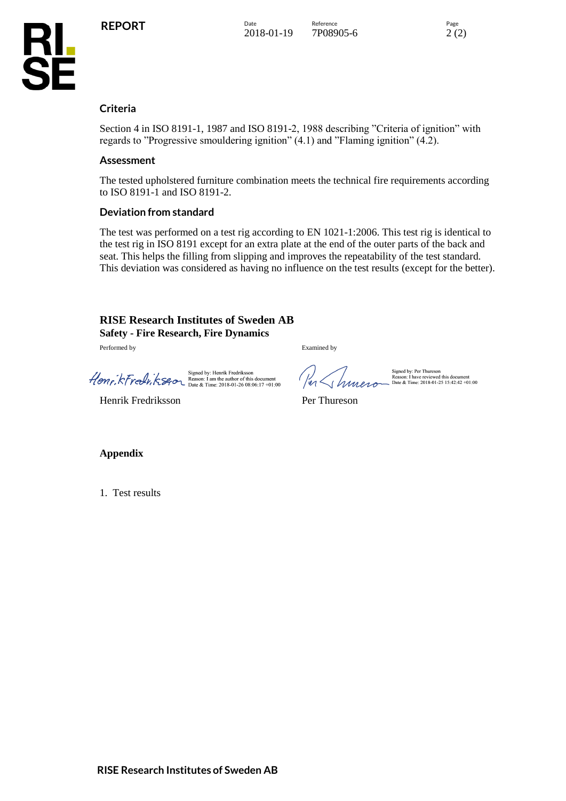**KL<br>SE** 



## **Criteria**

Section 4 in ISO 8191-1, 1987 and ISO 8191-2, 1988 describing "Criteria of ignition" with regards to "Progressive smouldering ignition" (4.1) and "Flaming ignition" (4.2).

#### **Assessment**

The tested upholstered furniture combination meets the technical fire requirements according to ISO 8191-1 and ISO 8191-2.

#### **Deviation from standard**

The test was performed on a test rig according to EN 1021-1:2006. This test rig is identical to the test rig in ISO 8191 except for an extra plate at the end of the outer parts of the back and seat. This helps the filling from slipping and improves the repeatability of the test standard. This deviation was considered as having no influence on the test results (except for the better).

#### **RISE Research Institutes of Sweden AB Safety - Fire Research, Fire Dynamics**

Performed by Examined by

Signed by: Henrik Fredriksson<br>
Reason: 1 am the author of this document<br>
Date & Time: 2018-01-26 08:06:17 +01:00

Henrik Fredriksson Per Thureson

Signed by: Per Thureson<br>Reason: I have reviewed this document<br>Date & Time: 2018-01-25 15:42:42 +01:00

**Appendix**

1. Test results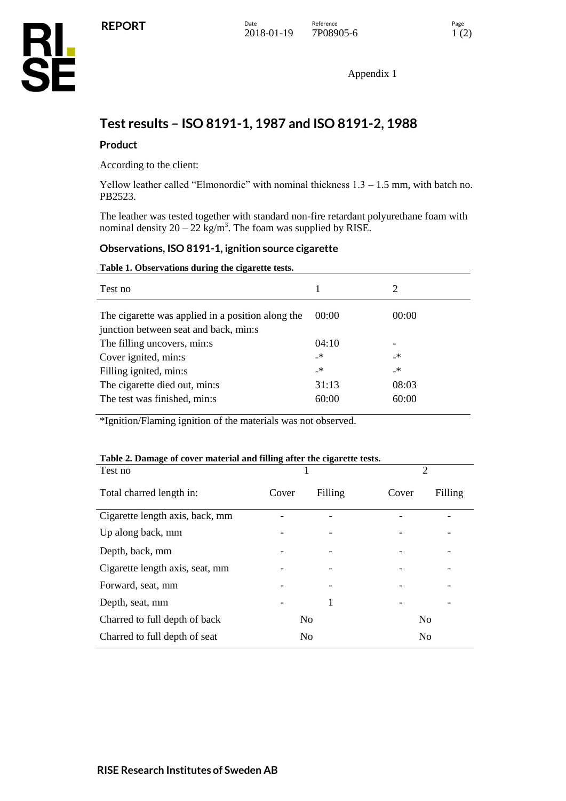Appendix 1

## **Test results – ISO 8191-1, 1987 and ISO 8191-2, 1988**

## **Product**

According to the client:

Yellow leather called "Elmonordic" with nominal thickness  $1.3 - 1.5$  mm, with batch no. PB2523.

The leather was tested together with standard non-fire retardant polyurethane foam with nominal density  $20 - 22$  kg/m<sup>3</sup>. The foam was supplied by RISE.

#### **Observations, ISO 8191-1, ignition source cigarette**

#### **Table 1. Observations during the cigarette tests.**

| Test no                                                                                    |       | 2     |
|--------------------------------------------------------------------------------------------|-------|-------|
| The cigarette was applied in a position along the<br>junction between seat and back, min:s | 00:00 | 00:00 |
| The filling uncovers, min:s                                                                | 04:10 |       |
| Cover ignited, min:s                                                                       | _*    | _*    |
| Filling ignited, min:s                                                                     | _*    | _*    |
| The cigarette died out, min:s                                                              | 31:13 | 08:03 |
| The test was finished, min:s                                                               | 60:00 | 60:00 |

\*Ignition/Flaming ignition of the materials was not observed.

| Table 2. Damage of cover material and filling after the cigarette tests.<br>$\overline{2}$ |       |                |       |                |
|--------------------------------------------------------------------------------------------|-------|----------------|-------|----------------|
| Test no                                                                                    |       |                |       |                |
| Total charred length in:                                                                   | Cover | Filling        | Cover | Filling        |
| Cigarette length axis, back, mm                                                            |       |                |       |                |
| Up along back, mm                                                                          |       |                |       |                |
| Depth, back, mm                                                                            |       |                |       |                |
| Cigarette length axis, seat, mm                                                            |       |                |       |                |
| Forward, seat, mm                                                                          |       |                |       |                |
| Depth, seat, mm                                                                            |       | 1              |       |                |
| Charred to full depth of back                                                              |       | N <sub>0</sub> |       | N <sub>0</sub> |
| Charred to full depth of seat                                                              |       | No             |       | N <sub>0</sub> |

## **Table 2. Damage of cover material and filling after the cigarette tests.**